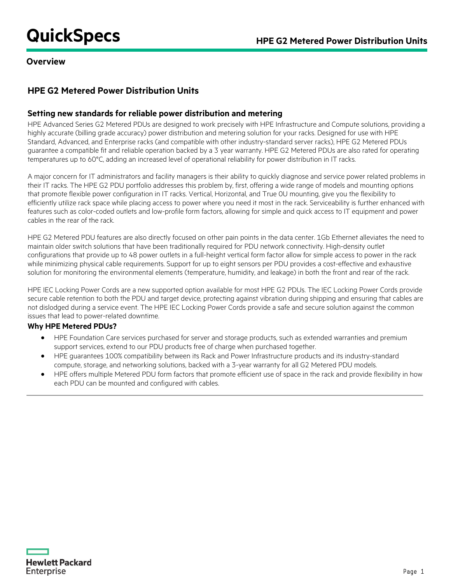# **QuickSpecs HPE G2 Metered Power Distribution Units**

## **Overview**

## **HPE G2 Metered Power Distribution Units**

## **Setting new standards for reliable power distribution and metering**

HPE Advanced Series G2 Metered PDUs are designed to work precisely with HPE Infrastructure and Compute solutions, providing a highly accurate (billing grade accuracy) power distribution and metering solution for your racks. Designed for use with HPE Standard, Advanced, and Enterprise racks (and compatible with other industry-standard server racks), HPE G2 Metered PDUs guarantee a compatible fit and reliable operation backed by a 3 year warranty. HPE G2 Metered PDUs are also rated for operating temperatures up to 60°C, adding an increased level of operational reliability for power distribution in IT racks.

A major concern for IT administrators and facility managers is their ability to quickly diagnose and service power related problems in their IT racks. The HPE G2 PDU portfolio addresses this problem by, first, offering a wide range of models and mounting options that promote flexible power configuration in IT racks. Vertical, Horizontal, and True 0U mounting, give you the flexibility to efficiently utilize rack space while placing access to power where you need it most in the rack. Serviceability is further enhanced with features such as color-coded outlets and low-profile form factors, allowing for simple and quick access to IT equipment and power cables in the rear of the rack.

HPE G2 Metered PDU features are also directly focused on other pain points in the data center. 1Gb Ethernet alleviates the need to maintain older switch solutions that have been traditionally required for PDU network connectivity. High-density outlet configurations that provide up to 48 power outlets in a full-height vertical form factor allow for simple access to power in the rack while minimizing physical cable requirements. Support for up to eight sensors per PDU provides a cost-effective and exhaustive solution for monitoring the environmental elements (temperature, humidity, and leakage) in both the front and rear of the rack.

HPE IEC Locking Power Cords are a new supported option available for most HPE G2 PDUs. The IEC Locking Power Cords provide secure cable retention to both the PDU and target device, protecting against vibration during shipping and ensuring that cables are not dislodged during a service event. The HPE IEC Locking Power Cords provide a safe and secure solution against the common issues that lead to power-related downtime.

## **Why HPE Metered PDUs?**

- HPE Foundation Care services purchased for server and storage products, such as extended warranties and premium support services, extend to our PDU products free of charge when purchased together.
- HPE guarantees 100% compatibility between its Rack and Power Infrastructure products and its industry-standard compute, storage, and networking solutions, backed with a 3-year warranty for all G2 Metered PDU models.
- HPE offers multiple Metered PDU form factors that promote efficient use of space in the rack and provide flexibility in how each PDU can be mounted and configured with cables.

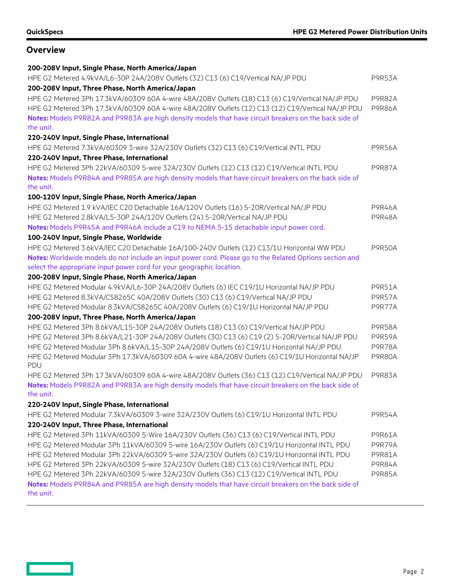## **Overview**

<u>and the second</u>

| HPE G2 Metered 4.9kVA/L6-30P 24A/208V Outlets (32) C13 (6) C19/Vertical NA/JP PDU<br>P9R53A<br>200-208V Input, Three Phase, North America/Japan<br>HPE G2 Metered 3Ph 17.3kVA/60309 60A 4-wire 48A/208V Outlets (18) C13 (6) C19/Vertical NA/JP PDU<br><b>P9R82A</b><br>HPE G2 Metered 3Ph 17.3kVA/60309 60A 4-wire 48A/208V Outlets (12) C13 (12) C19/Vertical NA/JP PDU<br><b>P9R86A</b><br>Notes: Models P9R82A and P9R83A are high density models that have circuit breakers on the back side of<br>the unit.<br>220-240V Input, Single Phase, International<br>HPE G2 Metered 7.3kVA/60309 3-wire 32A/230V Outlets (32) C13 (6) C19/Vertical INTL PDU<br><b>P9R56A</b><br>220-240V Input, Three Phase, International<br>HPE G2 Metered 3Ph 22kVA/60309 5-wire 32A/230V Outlets (12) C13 (12) C19/Vertical INTL PDU<br><b>P9R87A</b><br>Notes: Models P9R84A and P9R85A are high density models that have circuit breakers on the back side of |
|----------------------------------------------------------------------------------------------------------------------------------------------------------------------------------------------------------------------------------------------------------------------------------------------------------------------------------------------------------------------------------------------------------------------------------------------------------------------------------------------------------------------------------------------------------------------------------------------------------------------------------------------------------------------------------------------------------------------------------------------------------------------------------------------------------------------------------------------------------------------------------------------------------------------------------------------------|
|                                                                                                                                                                                                                                                                                                                                                                                                                                                                                                                                                                                                                                                                                                                                                                                                                                                                                                                                                    |
|                                                                                                                                                                                                                                                                                                                                                                                                                                                                                                                                                                                                                                                                                                                                                                                                                                                                                                                                                    |
|                                                                                                                                                                                                                                                                                                                                                                                                                                                                                                                                                                                                                                                                                                                                                                                                                                                                                                                                                    |
|                                                                                                                                                                                                                                                                                                                                                                                                                                                                                                                                                                                                                                                                                                                                                                                                                                                                                                                                                    |
|                                                                                                                                                                                                                                                                                                                                                                                                                                                                                                                                                                                                                                                                                                                                                                                                                                                                                                                                                    |
|                                                                                                                                                                                                                                                                                                                                                                                                                                                                                                                                                                                                                                                                                                                                                                                                                                                                                                                                                    |
|                                                                                                                                                                                                                                                                                                                                                                                                                                                                                                                                                                                                                                                                                                                                                                                                                                                                                                                                                    |
|                                                                                                                                                                                                                                                                                                                                                                                                                                                                                                                                                                                                                                                                                                                                                                                                                                                                                                                                                    |
|                                                                                                                                                                                                                                                                                                                                                                                                                                                                                                                                                                                                                                                                                                                                                                                                                                                                                                                                                    |
|                                                                                                                                                                                                                                                                                                                                                                                                                                                                                                                                                                                                                                                                                                                                                                                                                                                                                                                                                    |
| the unit.                                                                                                                                                                                                                                                                                                                                                                                                                                                                                                                                                                                                                                                                                                                                                                                                                                                                                                                                          |
| 100-120V Input, Single Phase, North America/Japan                                                                                                                                                                                                                                                                                                                                                                                                                                                                                                                                                                                                                                                                                                                                                                                                                                                                                                  |
| HPE G2 Metered 1.9 kVA/IEC C20 Detachable 16A/120V Outlets (16) 5-20R/Vertical NA/JP PDU<br><b>P9R46A</b>                                                                                                                                                                                                                                                                                                                                                                                                                                                                                                                                                                                                                                                                                                                                                                                                                                          |
| HPE G2 Metered 2.8kVA/L5-30P 24A/120V Outlets (24) 5-20R/Vertical NA/JP PDU<br><b>P9R48A</b>                                                                                                                                                                                                                                                                                                                                                                                                                                                                                                                                                                                                                                                                                                                                                                                                                                                       |
| Notes: Models P9R45A and P9R46A include a C19 to NEMA 5-15 detachable input power cord.                                                                                                                                                                                                                                                                                                                                                                                                                                                                                                                                                                                                                                                                                                                                                                                                                                                            |
| 100-240V Input, Single Phase, Worldwide                                                                                                                                                                                                                                                                                                                                                                                                                                                                                                                                                                                                                                                                                                                                                                                                                                                                                                            |
| HPE G2 Metered 3.6kVA/IEC C20 Detachable 16A/100-240V Outlets (12) C13/1U Horizontal WW PDU<br><b>P9R50A</b>                                                                                                                                                                                                                                                                                                                                                                                                                                                                                                                                                                                                                                                                                                                                                                                                                                       |
| Notes: Worldwide models do not include an input power cord. Please go to the Related Options section and                                                                                                                                                                                                                                                                                                                                                                                                                                                                                                                                                                                                                                                                                                                                                                                                                                           |
| select the appropriate input power cord for your geographic location.                                                                                                                                                                                                                                                                                                                                                                                                                                                                                                                                                                                                                                                                                                                                                                                                                                                                              |
| 200-208V Input, Single Phase, North America/Japan                                                                                                                                                                                                                                                                                                                                                                                                                                                                                                                                                                                                                                                                                                                                                                                                                                                                                                  |
| HPE G2 Metered Modular 4.9kVA/L6-30P 24A/208V Outlets (6) IEC C19/1U Horizontal NA/JP PDU<br><b>P9R51A</b>                                                                                                                                                                                                                                                                                                                                                                                                                                                                                                                                                                                                                                                                                                                                                                                                                                         |
| HPE G2 Metered 8.3kVA/CS8265C 40A/208V Outlets (30) C13 (6) C19/Vertical NA/JP PDU<br><b>P9R57A</b>                                                                                                                                                                                                                                                                                                                                                                                                                                                                                                                                                                                                                                                                                                                                                                                                                                                |
| HPE G2 Metered Modular 8.3kVA/CS8265C 40A/208V Outlets (6) C19/1U Horizontal NA/JP PDU<br>P9R77A                                                                                                                                                                                                                                                                                                                                                                                                                                                                                                                                                                                                                                                                                                                                                                                                                                                   |
| 200-208V Input, Three Phase, North America/Japan                                                                                                                                                                                                                                                                                                                                                                                                                                                                                                                                                                                                                                                                                                                                                                                                                                                                                                   |
| HPE G2 Metered 3Ph 8.6kVA/L15-30P 24A/208V Outlets (18) C13 (6) C19/Vertical NA/JP PDU<br><b>P9R58A</b>                                                                                                                                                                                                                                                                                                                                                                                                                                                                                                                                                                                                                                                                                                                                                                                                                                            |
| HPE G2 Metered 3Ph 8.6kVA/L21-30P 24A/208V Outlets (30) C13 (6) C19 (2) 5-20R/Vertical NA/JP PDU<br>P9R59A                                                                                                                                                                                                                                                                                                                                                                                                                                                                                                                                                                                                                                                                                                                                                                                                                                         |
| HPE G2 Metered Modular 3Ph 8.6kVA/L15-30P 24A/208V Outlets (6) C19/1U Horizontal NA/JP PDU<br><b>P9R78A</b>                                                                                                                                                                                                                                                                                                                                                                                                                                                                                                                                                                                                                                                                                                                                                                                                                                        |
| HPE G2 Metered Modular 3Ph 17.3kVA/60309 60A 4-wire 48A/208V Outlets (6) C19/1U Horizontal NA/JP<br><b>P9R80A</b><br>PDU                                                                                                                                                                                                                                                                                                                                                                                                                                                                                                                                                                                                                                                                                                                                                                                                                           |
| HPE G2 Metered 3Ph 17.3kVA/60309 60A 4-wire 48A/208V Outlets (36) C13 (12) C19/Vertical NA/JP PDU<br><b>P9R83A</b>                                                                                                                                                                                                                                                                                                                                                                                                                                                                                                                                                                                                                                                                                                                                                                                                                                 |
| Notes: Models P9R82A and P9R83A are high density models that have circuit breakers on the back side of<br>the unit.                                                                                                                                                                                                                                                                                                                                                                                                                                                                                                                                                                                                                                                                                                                                                                                                                                |
| 220-240V Input, Single Phase, International                                                                                                                                                                                                                                                                                                                                                                                                                                                                                                                                                                                                                                                                                                                                                                                                                                                                                                        |
| HPE G2 Metered Modular 7.3kVA/60309 3-wire 32A/230V Outlets (6) C19/1U Horizontal INTL PDU<br><b>P9R54A</b>                                                                                                                                                                                                                                                                                                                                                                                                                                                                                                                                                                                                                                                                                                                                                                                                                                        |
| 220-240V Input, Three Phase, International                                                                                                                                                                                                                                                                                                                                                                                                                                                                                                                                                                                                                                                                                                                                                                                                                                                                                                         |
| HPE G2 Metered 3Ph 11kVA/60309 5-Wire 16A/230V Outlets (36) C13 (6) C19/Vertical INTL PDU<br>P9R61A                                                                                                                                                                                                                                                                                                                                                                                                                                                                                                                                                                                                                                                                                                                                                                                                                                                |
| HPE G2 Metered Modular 3Ph 11kVA/60309 5-wire 16A/230V Outlets (6) C19/1U Horizontal INTL PDU<br>P9R79A                                                                                                                                                                                                                                                                                                                                                                                                                                                                                                                                                                                                                                                                                                                                                                                                                                            |
| HPE G2 Metered Modular 3Ph 22kVA/60309 5-wire 32A/230V Outlets (6) C19/1U Horizontal INTL PDU<br><b>P9R81A</b>                                                                                                                                                                                                                                                                                                                                                                                                                                                                                                                                                                                                                                                                                                                                                                                                                                     |
| HPE G2 Metered 3Ph 22kVA/60309 5-wire 32A/230V Outlets (18) C13 (6) C19/Vertical INTL PDU<br><b>P9R84A</b>                                                                                                                                                                                                                                                                                                                                                                                                                                                                                                                                                                                                                                                                                                                                                                                                                                         |
| HPE G2 Metered 3Ph 22kVA/60309 5-wire 32A/230V Outlets (36) C13 (12) C19/Vertical INTL PDU<br>P9R85A                                                                                                                                                                                                                                                                                                                                                                                                                                                                                                                                                                                                                                                                                                                                                                                                                                               |
| Notes: Models P9R84A and P9R85A are high density models that have circuit breakers on the back side of<br>the unit.                                                                                                                                                                                                                                                                                                                                                                                                                                                                                                                                                                                                                                                                                                                                                                                                                                |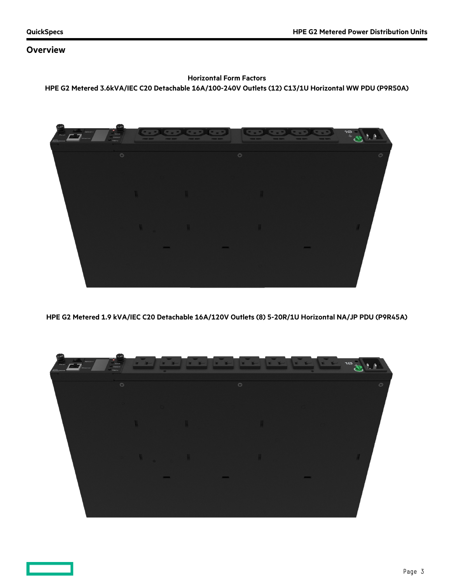## **Overview**

## **Horizontal Form Factors HPE G2 Metered 3.6kVA/IEC C20 Detachable 16A/100-240V Outlets (12) C13/1U Horizontal WW PDU (P9R50A)**



**HPE G2 Metered 1.9 kVA/IEC C20 Detachable 16A/120V Outlets (8) 5-20R/1U Horizontal NA/JP PDU (P9R45A)**

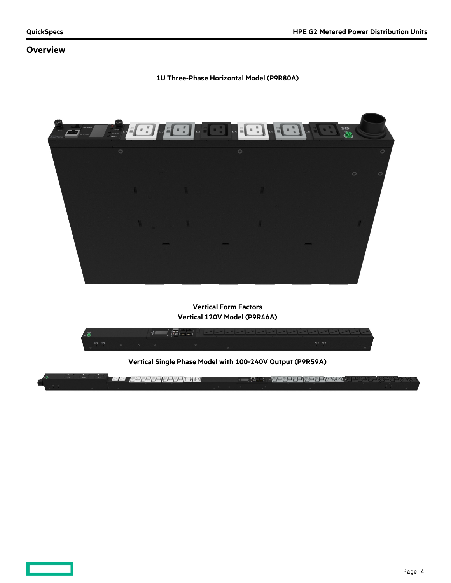## **Overview**

#### **1U Three-Phase Horizontal Model (P9R80A)**



**Vertical Form Factors Vertical 120V Model (P9R46A)**



**Vertical Single Phase Model with 100-240V Output (P9R59A)**

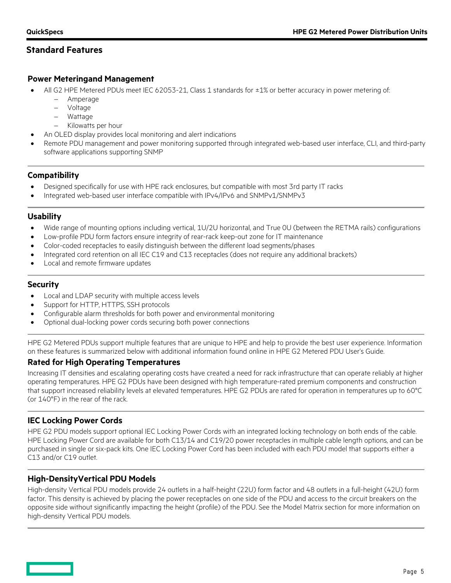## **Standard Features**

## **Power Meteringand Management**

- All G2 HPE Metered PDUs meet IEC 62053-21, Class 1 standards for ±1% or better accuracy in power metering of:
	- − Amperage
	- − Voltage
	- − Wattage
	- − Kilowatts per hour
	- An OLED display provides local monitoring and alert indications
- Remote PDU management and power monitoring supported through integrated web-based user interface, CLI, and third-party software applications supporting SNMP

## **Compatibility**

- Designed specifically for use with HPE rack enclosures, but compatible with most 3rd party IT racks
- Integrated web-based user interface compatible with IPv4/IPv6 and SNMPv1/SNMPv3

## **Usability**

- Wide range of mounting options including vertical, 1U/2U horizontal, and True 0U (between the RETMA rails) configurations
- Low-profile PDU form factors ensure integrity of rear-rack keep-out zone for IT maintenance
- Color-coded receptacles to easily distinguish between the different load segments/phases
- Integrated cord retention on all IEC C19 and C13 receptacles (does not require any additional brackets)
- Local and remote firmware updates

## **Security**

- Local and LDAP security with multiple access levels
- Support for HTTP, HTTPS, SSH protocols
- Configurable alarm thresholds for both power and environmental monitoring
- Optional dual-locking power cords securing both power connections

HPE G2 Metered PDUs support multiple features that are unique to HPE and help to provide the best user experience. Information on these features is summarized below with additional information found online in HPE G2 Metered PDU User's Guide.

## **Rated for High Operating Temperatures**

Increasing IT densities and escalating operating costs have created a need for rack infrastructure that can operate reliably at higher operating temperatures. HPE G2 PDUs have been designed with high temperature-rated premium components and construction that support increased reliability levels at elevated temperatures. HPE G2 PDUs are rated for operation in temperatures up to 60°C (or 140°F) in the rear of the rack.

## **IEC Locking Power Cords**

HPE G2 PDU models support optional IEC Locking Power Cords with an integrated locking technology on both ends of the cable. HPE Locking Power Cord are available for both C13/14 and C19/20 power receptacles in multiple cable length options, and can be purchased in single or six-pack kits. One IEC Locking Power Cord has been included with each PDU model that supports either a C13 and/or C19 outlet.

## **High-DensityVertical PDU Models**

High-density Vertical PDU models provide 24 outlets in a half-height (22U) form factor and 48 outlets in a full-height (42U) form factor. This density is achieved by placing the power receptacles on one side of the PDU and access to the circuit breakers on the opposite side without significantly impacting the height (profile) of the PDU. See the Model Matrix section for more information on high-density Vertical PDU models.

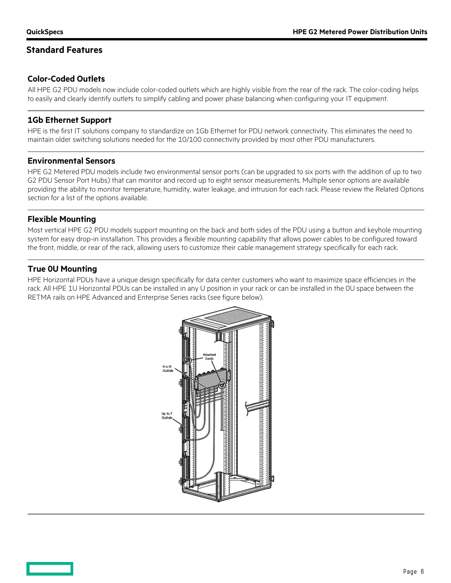## **Standard Features**

## **Color-Coded Outlets**

All HPE G2 PDU models now include color-coded outlets which are highly visible from the rear of the rack. The color-coding helps to easily and clearly identify outlets to simplify cabling and power phase balancing when configuring your IT equipment.

#### **1Gb Ethernet Support**

HPE is the first IT solutions company to standardize on 1Gb Ethernet for PDU network connectivity. This eliminates the need to maintain older switching solutions needed for the 10/100 connectivity provided by most other PDU manufacturers.

#### **Environmental Sensors**

HPE G2 Metered PDU models include two environmental sensor ports (can be upgraded to six ports with the addition of up to two G2 PDU Sensor Port Hubs) that can monitor and record up to eight sensor measurements. Multiple senor options are available providing the ability to monitor temperature, humidity, water leakage, and intrusion for each rack. Please review the Related Options section for a list of the options available.

## **Flexible Mounting**

Most vertical HPE G2 PDU models support mounting on the back and both sides of the PDU using a button and keyhole mounting system for easy drop-in installation. This provides a flexible mounting capability that allows power cables to be configured toward the front, middle, or rear of the rack, allowing users to customize their cable management strategy specifically for each rack.

## **True 0U Mounting**

HPE Horizontal PDUs have a unique design specifically for data center customers who want to maximize space efficiencies in the rack. All HPE 1U Horizontal PDUs can be installed in any U position in your rack or can be installed in the 0U space between the RETMA rails on HPE Advanced and Enterprise Series racks (see figure below).

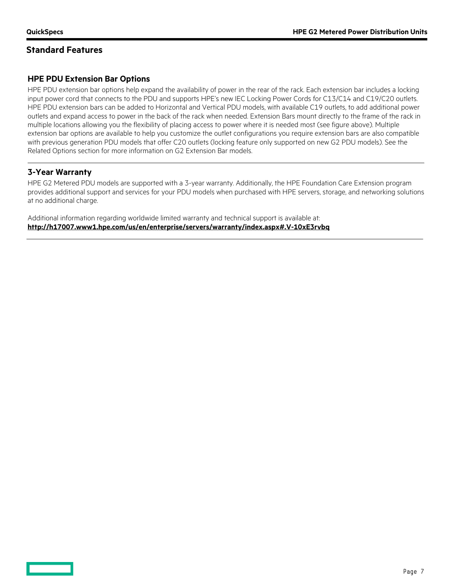## **Standard Features**

## **HPE PDU Extension Bar Options**

HPE PDU extension bar options help expand the availability of power in the rear of the rack. Each extension bar includes a locking input power cord that connects to the PDU and supports HPE's new IEC Locking Power Cords for C13/C14 and C19/C20 outlets. HPE PDU extension bars can be added to Horizontal and Vertical PDU models, with available C19 outlets, to add additional power outlets and expand access to power in the back of the rack when needed. Extension Bars mount directly to the frame of the rack in multiple locations allowing you the flexibility of placing access to power where it is needed most (see figure above). Multiple extension bar options are available to help you customize the outlet configurations you require extension bars are also compatible with previous generation PDU models that offer C20 outlets (locking feature only supported on new G2 PDU models). See the Related Options section for more information on G2 Extension Bar models.

## **3-Year Warranty**

HPE G2 Metered PDU models are supported with a 3-year warranty. Additionally, the HPE Foundation Care Extension program provides additional support and services for your PDU models when purchased with HPE servers, storage, and networking solutions at no additional charge.

Additional information regarding worldwide limited warranty and technical support is available at: **<http://h17007.www1.hpe.com/us/en/enterprise/servers/warranty/index.aspx#.V-10xE3rvbq>**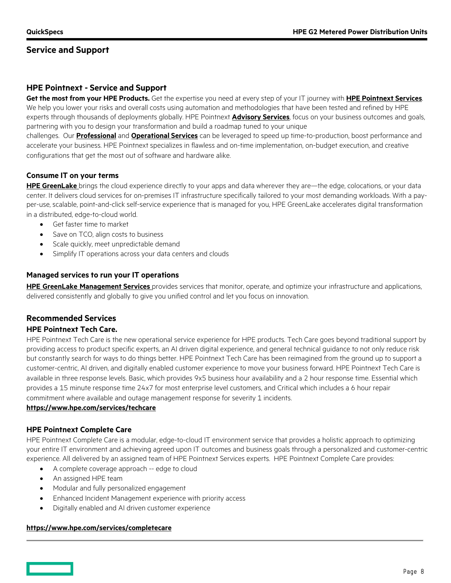## **Service and Support**

## **HPE Pointnext - Service and Support**

**Get the most from your HPE Products.** Get the expertise you need at every step of your IT journey with **[HPE Pointnext Se](https://www.hpe.com/us/en/services.html)rvices**. We help you lower your risks and overall costs using automation and methodologies that have been tested and refined by HPE experts through thousands of deployments globally. HPE Pointnext **[Advisory Services](https://www.hpe.com/us/en/services/consulting.html)**, focus on your business outcomes and goals, partnering with you to design your transformation and build a roadmap tuned to your unique

challenges. Our **[Professional](https://h20195.www2.hpe.com/v2/Getdocument.aspx?docname=a00059438enw)** and **[Operational Services](https://www.hpe.com/us/en/services/operational.html)** can be leveraged to speed up time-to-production, boost performance and accelerate your business. HPE Pointnext specializes in flawless and on-time implementation, on-budget execution, and creative configurations that get the most out of software and hardware alike.

## **Consume IT on your terms**

**[HPE GreenLake](https://www.hpe.com/GreenLake)** brings the cloud experience directly to your apps and data wherever they are—the edge, colocations, or your data center. It delivers cloud services for on-premises IT infrastructure specifically tailored to your most demanding workloads. With a payper-use, scalable, point-and-click self-service experience that is managed for you, HPE GreenLake accelerates digital transformation in a distributed, edge-to-cloud world.

- Get faster time to market
- Save on TCO, align costs to business
- Scale quickly, meet unpredictable demand
- Simplify IT operations across your data centers and clouds

#### **Managed services to run your IT operations**

**HPE GreenLake [Management Services](https://www.hpe.com/us/en/services/remote-infrastructure-monitoring.html)** provides services that monitor, operate, and optimize your infrastructure and applications, delivered consistently and globally to give you unified control and let you focus on innovation.

## **Recommended Services**

#### **HPE Pointnext Tech Care.**

HPE Pointnext Tech Care is the new operational service experience for HPE products. Tech Care goes beyond traditional support by providing access to product specific experts, an AI driven digital experience, and general technical guidance to not only reduce risk but constantly search for ways to do things better. HPE Pointnext Tech Care has been reimagined from the ground up to support a customer-centric, AI driven, and digitally enabled customer experience to move your business forward. HPE Pointnext Tech Care is available in three response levels. Basic, which provides 9x5 business hour availability and a 2 hour response time. Essential which provides a 15 minute response time 24x7 for most enterprise level customers, and Critical which includes a 6 hour repair commitment where available and outage management response for severity 1 incidents.

#### **<https://www.hpe.com/services/techcare>**

## **HPE Pointnext Complete Care**

HPE Pointnext Complete Care is a modular, edge-to-cloud IT environment service that provides a holistic approach to optimizing your entire IT environment and achieving agreed upon IT outcomes and business goals through a personalized and customer-centric experience. All delivered by an assigned team of HPE Pointnext Services experts. HPE Pointnext Complete Care provides:

- A complete coverage approach -- edge to cloud
- An assigned HPE team
- Modular and fully personalized engagement
- Enhanced Incident Management experience with priority access
- Digitally enabled and AI driven customer experience

#### **<https://www.hpe.com/services/completecare>**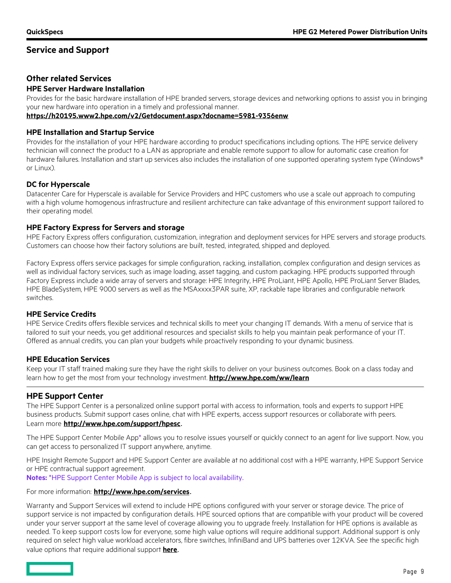## **Service and Support**

## **Other related Services**

## **HPE Server Hardware Installation**

Provides for the basic hardware installation of HPE branded servers, storage devices and networking options to assist you in bringing your new hardware into operation in a timely and professional manner.

**<https://h20195.www2.hpe.com/v2/Getdocument.aspx?docname=5981-9356enw>**

#### **HPE Installation and Startup Service**

Provides for the installation of your HPE hardware according to product specifications including options. The HPE service delivery technician will connect the product to a LAN as appropriate and enable remote support to allow for automatic case creation for hardware failures. Installation and start up services also includes the installation of one supported operating system type (Windows® or Linux).

## **DC for Hyperscale**

Datacenter Care for Hyperscale is available for Service Providers and HPC customers who use a scale out approach to computing with a high volume homogenous infrastructure and resilient architecture can take advantage of this environment support tailored to their operating model.

## **HPE Factory Express for Servers and storage**

HPE Factory Express offers configuration, customization, integration and deployment services for HPE servers and storage products. Customers can choose how their factory solutions are built, tested, integrated, shipped and deployed.

Factory Express offers service packages for simple configuration, racking, installation, complex configuration and design services as well as individual factory services, such as image loading, asset tagging, and custom packaging. HPE products supported through Factory Express include a wide array of servers and storage: HPE Integrity, HPE ProLiant, HPE Apollo, HPE ProLiant Server Blades, HPE BladeSystem, HPE 9000 servers as well as the MSAxxxx3PAR suite, XP, rackable tape libraries and configurable network switches.

## **HPE Service Credits**

HPE Service Credits offers flexible services and technical skills to meet your changing IT demands. With a menu of service that is tailored to suit your needs, you get additional resources and specialist skills to help you maintain peak performance of your IT. Offered as annual credits, you can plan your budgets while proactively responding to your dynamic business.

## **HPE Education Services**

Keep your IT staff trained making sure they have the right skills to deliver on your business outcomes. Book on a class today and learn how to get the most from your technology investment. **<http://www.hpe.com/ww/learn>**

## **HPE Support Center**

The HPE Support Center is a personalized online support portal with access to information, tools and experts to support HPE business products. Submit support cases online, chat with HPE experts, access support resources or collaborate with peers.

## Learn more **<http://www.hpe.com/support/hpesc>**.

The HPE Support Center Mobile App\* allows you to resolve issues yourself or quickly connect to an agent for live support. Now, you can get access to personalized IT support anywhere, anytime.

HPE Insight Remote Support and HPE Support Center are available at no additional cost with a HPE warranty, HPE Support Service or HPE contractual support agreement.

**Notes:** \*HPE Support Center Mobile App is subject to local availability.

#### For more information: **<http://www.hpe.com/services>**.

Warranty and Support Services will extend to include HPE options configured with your server or storage device. The price of support service is not impacted by configuration details. HPE sourced options that are compatible with your product will be covered under your server support at the same level of coverage allowing you to upgrade freely. Installation for HPE options is available as needed. To keep support costs low for everyone, some high value options will require additional support. Additional support is only required on select high value workload accelerators, fibre switches, InfiniBand and UPS batteries over 12KVA. See the specific high value options that require additional support **[here](https://www.hpe.com/h20195/V2/GetPDF.aspx/4AA4-8876ENW.pdf)**.

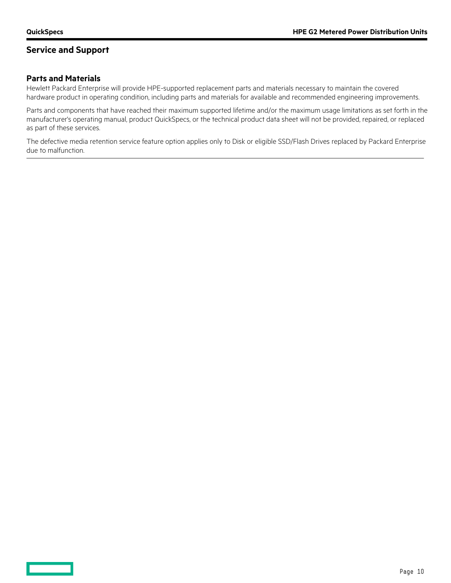# **Service and Support**

## **Parts and Materials**

Hewlett Packard Enterprise will provide HPE-supported replacement parts and materials necessary to maintain the covered hardware product in operating condition, including parts and materials for available and recommended engineering improvements.

Parts and components that have reached their maximum supported lifetime and/or the maximum usage limitations as set forth in the manufacturer's operating manual, product QuickSpecs, or the technical product data sheet will not be provided, repaired, or replaced as part of these services.

The defective media retention service feature option applies only to Disk or eligible SSD/Flash Drives replaced by Packard Enterprise due to malfunction.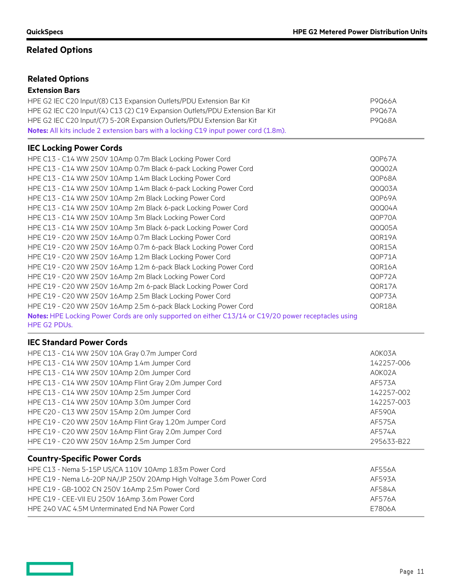# **Related Options**

# **Related Options**

## **Extension Bars**

| HPE G2 IEC C20 Input/(8) C13 Expansion Outlets/PDU Extension Bar Kit                                                 | P9Q66A |
|----------------------------------------------------------------------------------------------------------------------|--------|
| HPE G2 IEC C20 Input/(4) C13 (2) C19 Expansion Outlets/PDU Extension Bar Kit                                         | P9Q67A |
| HPE G2 IEC C20 Input/(7) 5-20R Expansion Outlets/PDU Extension Bar Kit                                               | P9Q68A |
| Notes: All kits include 2 extension bars with a locking C19 input power cord (1.8m).                                 |        |
| <b>IEC Locking Power Cords</b>                                                                                       |        |
| HPE C13 - C14 WW 250V 10Amp 0.7m Black Locking Power Cord                                                            | Q0P67A |
| HPE C13 - C14 WW 250V 10Amp 0.7m Black 6-pack Locking Power Cord                                                     | Q0Q02A |
| HPE C13 - C14 WW 250V 10Amp 1.4m Black Locking Power Cord                                                            | Q0P68A |
| HPE C13 - C14 WW 250V 10Amp 1.4m Black 6-pack Locking Power Cord                                                     | Q0Q03A |
| HPE C13 - C14 WW 250V 10Amp 2m Black Locking Power Cord                                                              | Q0P69A |
| HPE C13 - C14 WW 250V 10Amp 2m Black 6-pack Locking Power Cord                                                       | Q0Q04A |
| HPE C13 - C14 WW 250V 10Amp 3m Black Locking Power Cord                                                              | Q0P70A |
| HPE C13 - C14 WW 250V 10Amp 3m Black 6-pack Locking Power Cord                                                       | Q0Q05A |
| HPE C19 - C20 WW 250V 16Amp 0.7m Black Locking Power Cord                                                            | Q0R19A |
| HPE C19 - C20 WW 250V 16Amp 0.7m 6-pack Black Locking Power Cord                                                     | Q0R15A |
| HPE C19 - C20 WW 250V 16Amp 1.2m Black Locking Power Cord                                                            | Q0P71A |
| HPE C19 - C20 WW 250V 16Amp 1.2m 6-pack Black Locking Power Cord                                                     | Q0R16A |
| HPE C19 - C20 WW 250V 16Amp 2m Black Locking Power Cord                                                              | Q0P72A |
| HPE C19 - C20 WW 250V 16Amp 2m 6-pack Black Locking Power Cord                                                       | Q0R17A |
| HPE C19 - C20 WW 250V 16Amp 2.5m Black Locking Power Cord                                                            | Q0P73A |
| HPE C19 - C20 WW 250V 16Amp 2.5m 6-pack Black Locking Power Cord                                                     | Q0R18A |
| Notes: HPE Locking Power Cords are only supported on either C13/14 or C19/20 power receptacles using<br>HPE G2 PDUs. |        |
|                                                                                                                      |        |

## **IEC Standard Power Cords**

| HPE C13 - C14 WW 250V 10A Gray 0.7m Jumper Cord          | A0K03A     |
|----------------------------------------------------------|------------|
| HPE C13 - C14 WW 250V 10Amp 1.4m Jumper Cord             | 142257-006 |
| HPE C13 - C14 WW 250V 10Amp 2.0m Jumper Cord             | A0K02A     |
| HPE C13 - C14 WW 250V 10Amp Flint Gray 2.0m Jumper Cord  | AF573A     |
| HPE C13 - C14 WW 250V 10Amp 2.5m Jumper Cord             | 142257-002 |
| HPE C13 - C14 WW 250V 10Amp 3.0m Jumper Cord             | 142257-003 |
| HPE C20 - C13 WW 250V 15Amp 2.0m Jumper Cord             | AF590A     |
| HPE C19 - C20 WW 250V 16Amp Flint Gray 1.20m Jumper Cord | AF575A     |
| HPE C19 - C20 WW 250V 16Amp Flint Gray 2.0m Jumper Cord  | AF574A     |
| HPE C19 - C20 WW 250V 16Amp 2.5m Jumper Cord             | 295633-B22 |

# **Country-Specific Power Cords**

| HPE C13 - Nema 5-15P US/CA 110V 10Amp 1.83m Power Cord              | AF556A |
|---------------------------------------------------------------------|--------|
| HPE C19 - Nema L6-20P NA/JP 250V 20Amp High Voltage 3.6m Power Cord | AF593A |
| HPE C19 - GB-1002 CN 250V 16Amp 2.5m Power Cord                     | AF584A |
| HPE C19 - CEE-VII EU 250V 16Amp 3.6m Power Cord                     | AF576A |
| HPE 240 VAC 4.5M Unterminated End NA Power Cord                     | F7806A |

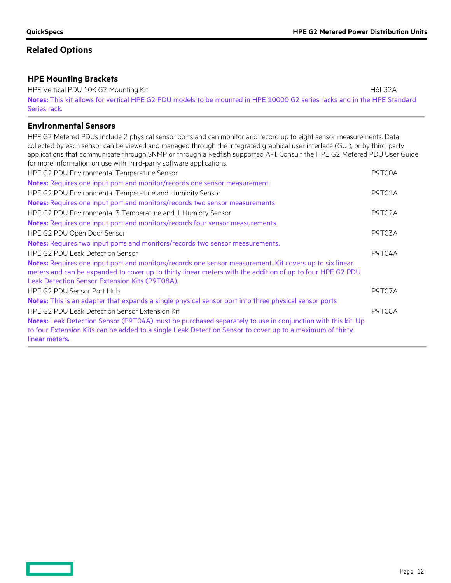# **Related Options**

## **HPE Mounting Brackets**

HPE Vertical PDU 10K G2 Mounting Kit H6L32A **Notes:** This kit allows for vertical HPE G2 PDU models to be mounted in HPE 10000 G2 series racks and in the HPE Standard Series rack.

## **Environmental Sensors**

HPE G2 Metered PDUs include 2 physical sensor ports and can monitor and record up to eight sensor measurements. Data collected by each sensor can be viewed and managed through the integrated graphical user interface (GUI), or by third-party applications that communicate through SNMP or through a Redfish supported API. Consult the HPE G2 Metered PDU User Guide for more information on use with third-party software applications.

| HPE G2 PDU Environmental Temperature Sensor                                                                                                                                                                                                                            | P9T00A        |
|------------------------------------------------------------------------------------------------------------------------------------------------------------------------------------------------------------------------------------------------------------------------|---------------|
| Notes: Requires one input port and monitor/records one sensor measurement.                                                                                                                                                                                             |               |
| HPE G2 PDU Environmental Temperature and Humidity Sensor                                                                                                                                                                                                               | <b>P9T01A</b> |
| Notes: Requires one input port and monitors/records two sensor measurements                                                                                                                                                                                            |               |
| HPE G2 PDU Environmental 3 Temperature and 1 Humidty Sensor                                                                                                                                                                                                            | <b>P9T02A</b> |
| <b>Notes:</b> Requires one input port and monitors/records four sensor measurements.                                                                                                                                                                                   |               |
| HPE G2 PDU Open Door Sensor                                                                                                                                                                                                                                            | <b>P9T03A</b> |
| Notes: Requires two input ports and monitors/records two sensor measurements.                                                                                                                                                                                          |               |
| HPE G2 PDU Leak Detection Sensor                                                                                                                                                                                                                                       | <b>P9T04A</b> |
| Notes: Requires one input port and monitors/records one sensor measurement. Kit covers up to six linear<br>meters and can be expanded to cover up to thirty linear meters with the addition of up to four HPE G2 PDU<br>Leak Detection Sensor Extension Kits (P9T08A). |               |
| HPE G2 PDU Sensor Port Hub                                                                                                                                                                                                                                             | P9T07A        |
| Notes: This is an adapter that expands a single physical sensor port into three physical sensor ports                                                                                                                                                                  |               |
| HPE G2 PDU Leak Detection Sensor Extension Kit                                                                                                                                                                                                                         | <b>P9T08A</b> |
| Notes: Leak Detection Sensor (P9T04A) must be purchased separately to use in conjunction with this kit. Up<br>to four Extension Kits can be added to a single Leak Detection Sensor to cover up to a maximum of thirty<br>linear meters.                               |               |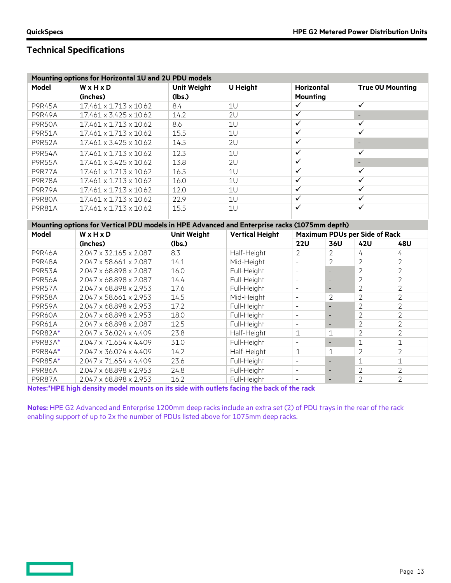**Contract** 

# **Technical Specifications**

|               | Mounting options for Horizontal 1U and 2U PDU models                                         |                              |                            |                                      |                          |                                  |                                  |  |
|---------------|----------------------------------------------------------------------------------------------|------------------------------|----------------------------|--------------------------------------|--------------------------|----------------------------------|----------------------------------|--|
| <b>Model</b>  | WxHxD<br>(inches)                                                                            | <b>Unit Weight</b><br>(lbs.) | <b>U Height</b>            | <b>Horizontal</b><br><b>Mounting</b> |                          |                                  | <b>True OU Mounting</b>          |  |
| <b>P9R45A</b> | 17.461 x 1.713 x 10.62                                                                       | 8.4                          | 1U                         | $\checkmark$                         |                          | $\checkmark$                     |                                  |  |
| <b>P9R49A</b> | 17.461 x 3.425 x 10.62                                                                       | 14.2                         | 2U                         | $\checkmark$                         |                          | $\overline{\phantom{a}}$         |                                  |  |
| <b>P9R50A</b> | 17.461 x 1.713 x 10.62                                                                       | 8.6                          | 1U                         | $\overline{\checkmark}$              |                          | $\checkmark$                     |                                  |  |
| <b>P9R51A</b> | 17.461 x 1.713 x 10.62                                                                       | 15.5                         | 1U                         | $\checkmark$                         |                          | $\checkmark$                     |                                  |  |
| <b>P9R52A</b> | 17.461 x 3.425 x 10.62                                                                       | 14.5                         | 2U                         | $\checkmark$                         |                          | $\overline{\phantom{a}}$         |                                  |  |
| <b>P9R54A</b> | 17.461 x 1.713 x 10.62                                                                       | 12.3                         | 1U                         | $\checkmark$                         |                          | $\checkmark$                     |                                  |  |
| <b>P9R55A</b> | 17.461 x 3.425 x 10.62                                                                       | 13.8                         | 2U                         | $\checkmark$                         |                          | $\overline{\phantom{a}}$         |                                  |  |
| <b>P9R77A</b> | 17.461 x 1.713 x 10.62                                                                       | 16.5                         | 1U                         | $\checkmark$                         |                          | $\checkmark$                     |                                  |  |
| <b>P9R78A</b> | 17.461 x 1.713 x 10.62                                                                       | 16.0                         | 1U                         | $\checkmark$                         |                          | $\checkmark$                     |                                  |  |
| P9R79A        | 17.461 x 1.713 x 10.62                                                                       | 12.0                         | 1U                         | $\checkmark$                         |                          | $\checkmark$                     |                                  |  |
| <b>P9R80A</b> | 17.461 x 1.713 x 10.62                                                                       | 22.9                         | 1U                         | $\checkmark$                         |                          | $\checkmark$                     |                                  |  |
| <b>P9R81A</b> | 17.461 x 1.713 x 10.62                                                                       | 15.5                         | 1U                         | $\checkmark$                         |                          | $\checkmark$                     |                                  |  |
|               | Mounting options for Vertical PDU models in HPE Advanced and Enterprise racks (1075mm depth) |                              |                            |                                      |                          |                                  |                                  |  |
| <b>Model</b>  | WxHxD                                                                                        | <b>Unit Weight</b>           | <b>Vertical Height</b>     | <b>Maximum PDUs per Side of Rack</b> |                          |                                  |                                  |  |
|               | (inches)                                                                                     | (lbs.)                       |                            | <b>22U</b>                           | 36U                      | <b>42U</b>                       | 48U                              |  |
| <b>P9R46A</b> | 2.047 x 32.165 x 2.087                                                                       | 8.3                          | Half-Height                | $\overline{2}$                       | $\overline{2}$           | $\overline{4}$                   | 4                                |  |
| <b>P9R48A</b> | 2.047 x 58.661 x 2.087                                                                       | 14.1                         | Mid-Height                 |                                      | $\overline{2}$           | $\overline{2}$                   | $\overline{2}$                   |  |
| <b>P9R53A</b> | 2.047 x 68.898 x 2.087                                                                       |                              |                            |                                      |                          |                                  |                                  |  |
|               |                                                                                              | 16.0                         | Full-Height                | $\overline{\phantom{a}}$             |                          | $\overline{2}$                   | $\overline{2}$                   |  |
| <b>P9R56A</b> | 2.047 x 68.898 x 2.087                                                                       | 14.4                         | Full-Height                | $\sim$                               | $\overline{\phantom{m}}$ | $\overline{2}$                   | $\overline{2}$                   |  |
| <b>P9R57A</b> | 2.047 x 68.898 x 2.953                                                                       | 17.6                         | Full-Height                | $\overline{\phantom{a}}$             | $\overline{\phantom{0}}$ | $\overline{2}$                   | $\overline{2}$                   |  |
| <b>P9R58A</b> | 2.047 x 58.661 x 2.953                                                                       | 14.5                         | Mid-Height                 | $\overline{\phantom{a}}$             | 2                        | $\overline{2}$                   | $\overline{2}$                   |  |
| P9R59A        | 2.047 x 68.898 x 2.953                                                                       | 17.2                         | Full-Height                | $\overline{\phantom{a}}$             | $\overline{\phantom{a}}$ | $\overline{2}$                   | $\overline{2}$                   |  |
| <b>P9R60A</b> | 2.047 x 68.898 x 2.953                                                                       | 18.0                         | Full-Height                | $\overline{\phantom{a}}$             | $\qquad \qquad -$        | $\overline{2}$                   | $\overline{2}$                   |  |
| P9R61A        | 2.047 x 68.898 x 2.087                                                                       | 12.5                         | Full-Height                | $\overline{\phantom{a}}$             | $\overline{\phantom{m}}$ | $\overline{2}$                   | $\overline{2}$                   |  |
| P9R82A*       | 2.047 x 36.024 x 4.409                                                                       | 23.8                         | Half-Height                | $\mathbf{1}$                         | 1                        | $\overline{2}$                   | $\overline{2}$                   |  |
| P9R83A*       | 2.047 x 71.654 x 4.409                                                                       | 31.0                         | Full-Height                | $\bar{\phantom{a}}$                  | $\equiv$                 | $\mathbf 1$                      | $\mathbf{1}$                     |  |
| P9R84A*       | 2.047 x 36.024 x 4.409                                                                       | 14.2                         | Half-Height                | 1                                    | 1                        | $\overline{2}$                   | $\overline{2}$                   |  |
| P9R85A*       | 2.047 x 71.654 x 4.409                                                                       | 23.6                         | Full-Height                | $\overline{\phantom{a}}$             | $\overline{\phantom{a}}$ | $\mathbf 1$                      | $\mathbf 1$                      |  |
| <b>P9R86A</b> | 2.047 x 68.898 x 2.953                                                                       | 24.8<br>16.2                 | Full-Height<br>Full-Height | $\overline{\phantom{a}}$             | $\overline{\phantom{0}}$ | $\overline{2}$<br>$\overline{2}$ | $\overline{2}$<br>$\overline{2}$ |  |

**Notes:\*HPE high density model mounts on its side with outlets facing the back of the rack**

**Notes:** HPE G2 Advanced and Enterprise 1200mm deep racks include an extra set (2) of PDU trays in the rear of the rack enabling support of up to 2x the number of PDUs listed above for 1075mm deep racks.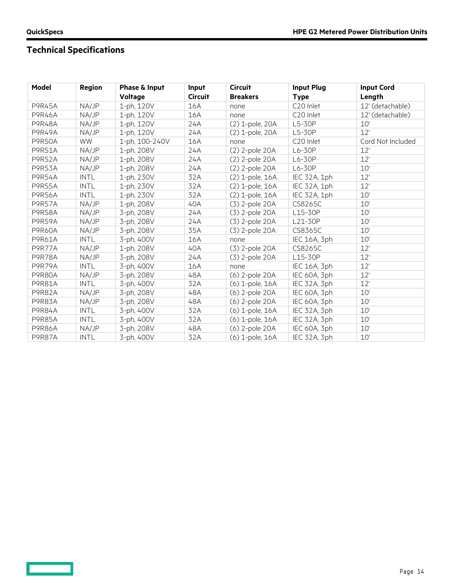$\equiv$   $\equiv$ 

# **Technical Specifications**

| Model         | <b>Region</b> | Phase & Input  | Input          | <b>Circuit</b>  | <b>Input Plug</b>     | <b>Input Cord</b> |
|---------------|---------------|----------------|----------------|-----------------|-----------------------|-------------------|
|               |               | Voltage        | <b>Circuit</b> | <b>Breakers</b> | <b>Type</b>           | Length            |
| <b>P9R45A</b> | NA/JP         | 1-ph, 120V     | 16A            | none            | C <sub>20</sub> Inlet | 12' (detachable)  |
| <b>P9R46A</b> | NA/JP         | 1-ph, 120V     | 16A            | none            | C20 Inlet             | 12' (detachable)  |
| P9R48A        | NA/JP         | 1-ph, 120V     | 24A            | (2) 1-pole, 20A | L5-30P                | 10'               |
| <b>P9R49A</b> | NA/JP         | 1-ph, 120V     | 24A            | (2) 1-pole, 20A | L5-30P                | 12'               |
| <b>P9R50A</b> | <b>WW</b>     | 1-ph, 100-240V | 16A            | none            | C20 Inlet             | Cord Not Included |
| <b>P9R51A</b> | NA/JP         | 1-ph, 208V     | 24A            | (2) 2-pole 20A  | L6-30P                | 12'               |
| <b>P9R52A</b> | NA/JP         | 1-ph, 208V     | 24A            | (2) 2-pole 20A  | L6-30P                | 12'               |
| <b>P9R53A</b> | NA/JP         | 1-ph, 208V     | 24A            | (2) 2-pole 20A  | L6-30P                | 10'               |
| <b>P9R54A</b> | <b>INTL</b>   | 1-ph, 230V     | 32A            | (2) 1-pole, 16A | IEC 32A, 1ph          | 12'               |
| <b>P9R55A</b> | <b>INTL</b>   | 1-ph, 230V     | 32A            | (2) 1-pole, 16A | IEC 32A, 1ph          | 12'               |
| <b>P9R56A</b> | <b>INTL</b>   | 1-ph, 230V     | 32A            | (2) 1-pole, 16A | IEC 32A, 1ph          | 10'               |
| <b>P9R57A</b> | NA/JP         | 1-ph, 208V     | 40A            | (3) 2-pole 20A  | CS8265C               | 10'               |
| <b>P9R58A</b> | NA/JP         | 3-ph, 208V     | 24A            | (3) 2-pole 20A  | L15-30P               | 10'               |
| <b>P9R59A</b> | NA/JP         | 3-ph, 208V     | 24A            | (3) 2-pole 20A  | L21-30P               | 10'               |
| <b>P9R60A</b> | NA/JP         | 3-ph, 208V     | 35A            | (3) 2-pole 20A  | CS8365C               | 10'               |
| P9R61A        | <b>INTL</b>   | 3-ph, 400V     | 16A            | none            | IEC 16A, 3ph          | 10'               |
| <b>P9R77A</b> | NA/JP         | 1-ph, 208V     | 40A            | (3) 2-pole 20A  | CS8265C               | 12'               |
| <b>P9R78A</b> | NA/JP         | 3-ph, 208V     | 24A            | (3) 2-pole 20A  | L15-30P               | 12'               |
| P9R79A        | <b>INTL</b>   | 3-ph, 400V     | 16A            | none            | IEC 16A, 3ph          | 12'               |
| <b>P9R80A</b> | NA/JP         | 3-ph, 208V     | 48A            | (6) 2-pole 20A  | IEC 60A, 3ph          | 12'               |
| <b>P9R81A</b> | <b>INTL</b>   | 3-ph, 400V     | 32A            | (6) 1-pole, 16A | IEC 32A, 3ph          | 12'               |
| <b>P9R82A</b> | NA/JP         | 3-ph, 208V     | 48A            | (6) 2-pole 20A  | IEC 60A, 3ph          | 10'               |
| <b>P9R83A</b> | NA/JP         | 3-ph, 208V     | 48A            | (6) 2-pole 20A  | IEC 60A, 3ph          | 10'               |
| <b>P9R84A</b> | <b>INTL</b>   | 3-ph, 400V     | 32A            | (6) 1-pole, 16A | IEC 32A, 3ph          | 10'               |
| <b>P9R85A</b> | <b>INTL</b>   | 3-ph, 400V     | 32A            | (6) 1-pole, 16A | IEC 32A, 3ph          | 10'               |
| <b>P9R86A</b> | NA/JP         | 3-ph, 208V     | 48A            | (6) 2-pole 20A  | IEC 60A, 3ph          | 10'               |
| <b>P9R87A</b> | <b>INTL</b>   | 3-ph, 400V     | 32A            | (6) 1-pole, 16A | IEC 32A, 3ph          | 10'               |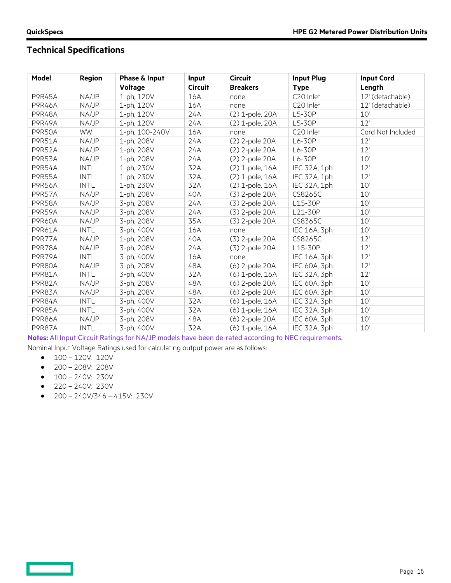# **Technical Specifications**

| Model         | <b>Region</b> | Phase & Input  | Input          | <b>Circuit</b>  | <b>Input Plug</b> | <b>Input Cord</b> |
|---------------|---------------|----------------|----------------|-----------------|-------------------|-------------------|
|               |               | Voltage        | <b>Circuit</b> | <b>Breakers</b> | <b>Type</b>       | Length            |
| <b>P9R45A</b> | NA/JP         | 1-ph, 120V     | 16A            | none            | C20 Inlet         | 12' (detachable)  |
| <b>P9R46A</b> | NA/JP         | 1-ph, 120V     | 16A            | none            | C20 Inlet         | 12' (detachable)  |
| <b>P9R48A</b> | NA/JP         | 1-ph, 120V     | 24A            | (2) 1-pole, 20A | L5-30P            | 10'               |
| <b>P9R49A</b> | NA/JP         | 1-ph, 120V     | 24A            | (2) 1-pole, 20A | L5-30P            | 12'               |
| <b>P9R50A</b> | <b>WW</b>     | 1-ph, 100-240V | 16A            | none            | C20 Inlet         | Cord Not Included |
| <b>P9R51A</b> | NA/JP         | 1-ph, 208V     | 24A            | (2) 2-pole 20A  | L6-30P            | 12'               |
| <b>P9R52A</b> | NA/JP         | 1-ph, 208V     | 24A            | (2) 2-pole 20A  | L6-30P            | 12'               |
| P9R53A        | NA/JP         | 1-ph, 208V     | 24A            | (2) 2-pole 20A  | L6-30P            | 10'               |
| <b>P9R54A</b> | <b>INTL</b>   | 1-ph, 230V     | 32A            | (2) 1-pole, 16A | IEC 32A, 1ph      | 12'               |
| <b>P9R55A</b> | <b>INTL</b>   | 1-ph, 230V     | 32A            | (2) 1-pole, 16A | IEC 32A, 1ph      | 12'               |
| <b>P9R56A</b> | <b>INTL</b>   | 1-ph, 230V     | 32A            | (2) 1-pole, 16A | IEC 32A, 1ph      | 10'               |
| <b>P9R57A</b> | NA/JP         | 1-ph, 208V     | 40A            | (3) 2-pole 20A  | CS8265C           | 10'               |
| <b>P9R58A</b> | NA/JP         | 3-ph, 208V     | 24A            | (3) 2-pole 20A  | L15-30P           | 10'               |
| P9R59A        | NA/JP         | 3-ph, 208V     | 24A            | (3) 2-pole 20A  | L21-30P           | 10'               |
| <b>P9R60A</b> | NA/JP         | 3-ph, 208V     | 35A            | (3) 2-pole 20A  | CS8365C           | 10'               |
| P9R61A        | <b>INTL</b>   | 3-ph, 400V     | 16A            | none            | IEC 16A, 3ph      | 10'               |
| P9R77A        | NA/JP         | 1-ph, 208V     | 40A            | (3) 2-pole 20A  | CS8265C           | 12'               |
| <b>P9R78A</b> | NA/JP         | 3-ph, 208V     | 24A            | (3) 2-pole 20A  | L15-30P           | 12'               |
| P9R79A        | <b>INTL</b>   | 3-ph, 400V     | 16A            | none            | IEC 16A, 3ph      | 12'               |
| P9R80A        | NA/JP         | 3-ph, 208V     | 48A            | (6) 2-pole 20A  | IEC 60A, 3ph      | 12'               |
| <b>P9R81A</b> | <b>INTL</b>   | 3-ph, 400V     | 32A            | (6) 1-pole, 16A | IEC 32A, 3ph      | 12'               |
| <b>P9R82A</b> | NA/JP         | 3-ph, 208V     | 48A            | (6) 2-pole 20A  | IEC 60A, 3ph      | 10'               |
| P9R83A        | NA/JP         | 3-ph, 208V     | 48A            | (6) 2-pole 20A  | IEC 60A, 3ph      | 10'               |
| <b>P9R84A</b> | <b>INTL</b>   | 3-ph, 400V     | 32A            | (6) 1-pole, 16A | IEC 32A, 3ph      | 10'               |
| <b>P9R85A</b> | <b>INTL</b>   | 3-ph, 400V     | 32A            | (6) 1-pole, 16A | IEC 32A, 3ph      | 10'               |
| <b>P9R86A</b> | NA/JP         | 3-ph, 208V     | 48A            | (6) 2-pole 20A  | IEC 60A, 3ph      | 10'               |
| <b>P9R87A</b> | <b>INTL</b>   | 3-ph, 400V     | 32A            | (6) 1-pole, 16A | IEC 32A, 3ph      | 10'               |

**Notes:** All Input Circuit Ratings for NA/JP models have been de-rated according to NEC requirements.

Nominal Input Voltage Ratings used for calculating output power are as follows:

- $\bullet$  100 120V: 120V
- 200 208V: 208V
- $\bullet$  100 240V: 230V
- $220 240V: 230V$

**Contract** 

 $\bullet$  200 - 240V/346 - 415V: 230V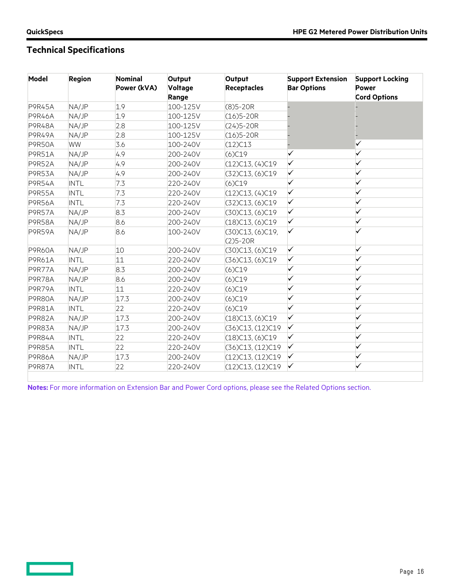**Contract** 

# **Technical Specifications**

| Model         | <b>Region</b> | <b>Nominal</b><br>Power (kVA) | Output<br><b>Voltage</b><br>Range | Output<br><b>Receptacles</b>           | <b>Support Extension</b><br><b>Bar Options</b> | <b>Support Locking</b><br><b>Power</b><br><b>Cord Options</b> |
|---------------|---------------|-------------------------------|-----------------------------------|----------------------------------------|------------------------------------------------|---------------------------------------------------------------|
| <b>P9R45A</b> | NA/JP         | 1.9                           | 100-125V                          | $(8)5 - 20R$                           |                                                |                                                               |
| <b>P9R46A</b> | NA/JP         | 1.9                           | 100-125V                          | $(16)5 - 20R$                          |                                                |                                                               |
| <b>P9R48A</b> | NA/JP         | 2.8                           | 100-125V                          | $(24)5 - 20R$                          |                                                |                                                               |
| P9R49A        | NA/JP         | 2.8                           | 100-125V                          | $(16)5 - 20R$                          |                                                |                                                               |
| <b>P9R50A</b> | <b>WW</b>     | 3.6                           | 100-240V                          | $(12)$ C13                             |                                                | ✓                                                             |
| <b>P9R51A</b> | NA/JP         | 4.9                           | 200-240V                          | (6)C19                                 | ✓                                              | ✓                                                             |
| <b>P9R52A</b> | NA/JP         | 4.9                           | 200-240V                          | (12)C13, (4)C19                        | ✓                                              |                                                               |
| P9R53A        | NA/JP         | 4.9                           | 200-240V                          | (32)C13, (6)C19                        | ✓                                              | ✓                                                             |
| <b>P9R54A</b> | <b>INTL</b>   | 7.3                           | 220-240V                          | $(6)$ C19                              | $\checkmark$                                   | ✓                                                             |
| <b>P9R55A</b> | <b>INTL</b>   | 7.3                           | 220-240V                          | (12)C13, (4)C19                        | $\checkmark$                                   |                                                               |
| <b>P9R56A</b> | <b>INTL</b>   | 7.3                           | 220-240V                          | (32)C13, (6)C19                        | $\checkmark$                                   | ✓                                                             |
| <b>P9R57A</b> | NA/JP         | 8.3                           | 200-240V                          | (30)C13, (6)C19                        | $\checkmark$                                   |                                                               |
| <b>P9R58A</b> | NA/JP         | 8.6                           | 200-240V                          | (18)C13, (6)C19                        | $\checkmark$                                   | ✓                                                             |
| P9R59A        | NA/JP         | 8.6                           | 100-240V                          | $(30)$ C13, $(6)$ C19,<br>$(2)5 - 20R$ | ✓                                              |                                                               |
| <b>P9R60A</b> | NA/JP         | 10                            | 200-240V                          | (30)C13, (6)C19                        | $\checkmark$                                   | ✓                                                             |
| P9R61A        | <b>INTL</b>   | 11                            | 220-240V                          | (36)C13, (6)C19                        | $\checkmark$                                   | ✓                                                             |
| P9R77A        | NA/JP         | 8.3                           | 200-240V                          | $(6)$ C19                              | $\checkmark$                                   |                                                               |
| P9R78A        | NA/JP         | 8.6                           | 200-240V                          | $(6)$ C19                              | ✓                                              |                                                               |
| P9R79A        | <b>INTL</b>   | 11                            | 220-240V                          | $(6)$ C19                              | ✓                                              |                                                               |
| P9R80A        | NA/JP         | 17.3                          | 200-240V                          | $(6)$ C19                              | $\checkmark$                                   | ✓                                                             |
| <b>P9R81A</b> | <b>INTL</b>   | 22                            | 220-240V                          | $(6)$ C19                              | ✓                                              | ✓                                                             |
| P9R82A        | NA/JP         | 17.3                          | 200-240V                          | (18)C13, (6)C19                        | $\checkmark$                                   |                                                               |
| P9R83A        | NA/JP         | 17.3                          | 200-240V                          | (36)C13, (12)C19                       | $\checkmark$                                   | ✓                                                             |
| P9R84A        | <b>INTL</b>   | 22                            | 220-240V                          | (18)C13, (6)C19                        | ✓                                              |                                                               |
| <b>P9R85A</b> | <b>INTL</b>   | 22                            | 220-240V                          | (36)C13, (12)C19                       | $\checkmark$                                   | ✓                                                             |
| <b>P9R86A</b> | NA/JP         | 17.3                          | 200-240V                          | (12)C13, (12)C19                       | $\checkmark$                                   | ✓                                                             |
| P9R87A        | <b>INTL</b>   | 22                            | 220-240V                          | (12)C13, (12)C19                       | ✓                                              | ✓                                                             |

**Notes:** For more information on Extension Bar and Power Cord options, please see the Related Options section.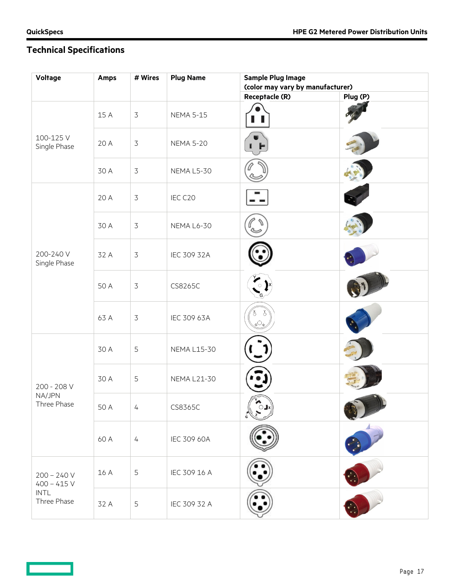**Contract Contract** 

# **Technical Specifications**

| Voltage                       | Amps | # Wires        | <b>Plug Name</b>   | <b>Sample Plug Image</b><br>(color may vary by manufacturer) |          |
|-------------------------------|------|----------------|--------------------|--------------------------------------------------------------|----------|
|                               |      |                |                    | Receptacle (R)                                               | Plug (P) |
|                               | 15 A | $\overline{3}$ | <b>NEMA 5-15</b>   |                                                              |          |
| 100-125V<br>Single Phase      | 20 A | $\overline{3}$ | <b>NEMA 5-20</b>   |                                                              |          |
|                               | 30 A | $\overline{3}$ | NEMA L5-30         |                                                              |          |
|                               | 20 A | $\overline{3}$ | IEC C20            |                                                              |          |
|                               | 30 A | $\overline{3}$ | NEMA L6-30         |                                                              |          |
| 200-240 V<br>Single Phase     | 32 A | $\overline{3}$ | IEC 309 32A        |                                                              |          |
|                               | 50 A | $\overline{3}$ | CS8265C            | $\circ$                                                      |          |
|                               | 63 A | $\overline{3}$ | IEC 309 63A        | $_{\mathtt{G}}\odot$                                         |          |
|                               | 30 A | 5              | <b>NEMA L15-30</b> |                                                              |          |
| 200 - 208 V                   | 30 A | 5              | <b>NEMA L21-30</b> |                                                              |          |
| NA/JPN<br>Three Phase         | 50 A | 4              | CS8365C            | $\bigcirc$ Jx                                                |          |
|                               | 60 A | $\frac{1}{2}$  | IEC 309 60A        |                                                              |          |
| $200 - 240 V$<br>$400 - 415V$ | 16 A | 5              | IEC 309 16 A       |                                                              |          |
| INTL<br>Three Phase           | 32 A | 5              | IEC 309 32 A       |                                                              |          |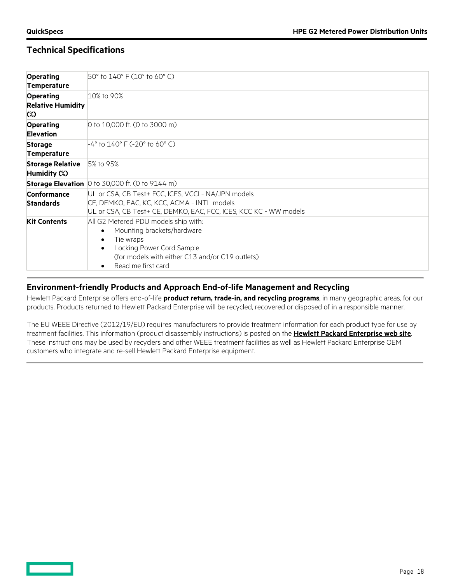## **Technical Specifications**

| <b>Operating</b><br><b>Temperature</b>                 | 50° to 140° F (10° to 60° C)                                                                                                                                                                                         |
|--------------------------------------------------------|----------------------------------------------------------------------------------------------------------------------------------------------------------------------------------------------------------------------|
| <b>Operating</b><br><b>Relative Humidity</b><br>$(\%)$ | 10% to 90%                                                                                                                                                                                                           |
| <b>Operating</b><br><b>Elevation</b>                   | 0 to 10,000 ft. (0 to 3000 m)                                                                                                                                                                                        |
| <b>Storage</b><br><b>Temperature</b>                   | $-4^{\circ}$ to 140° F (-20° to 60° C)                                                                                                                                                                               |
| <b>Storage Relative</b><br>Humidity (%)                | 5% to 95%                                                                                                                                                                                                            |
|                                                        | Storage Elevation 0 to 30,000 ft. (0 to 9144 m)                                                                                                                                                                      |
| Conformance<br><b>Standards</b>                        | UL or CSA, CB Test+ FCC, ICES, VCCI - NA/JPN models<br>CE, DEMKO, EAC, KC, KCC, ACMA - INTL models<br>UL or CSA, CB Test+ CE, DEMKO, EAC, FCC, ICES, KCC KC - WW models                                              |
| <b>Kit Contents</b>                                    | All G2 Metered PDU models ship with:<br>Mounting brackets/hardware<br>$\bullet$<br>Tie wraps<br>٠<br>Locking Power Cord Sample<br>$\bullet$<br>(for models with either C13 and/or C19 outlets)<br>Read me first card |

## **Environment-friendly Products and Approach End-of-life Management and Recycling**

Hewlett Packard Enterprise offers end-of-life **[product return, trade-in, and recycling programs](http://www.hpe.com/recycle)**, in many geographic areas, for our products. Products returned to Hewlett Packard Enterprise will be recycled, recovered or disposed of in a responsible manner.

The EU WEEE Directive (2012/19/EU) requires manufacturers to provide treatment information for each product type for use by treatment facilities. This information (product disassembly instructions) is posted on the **[Hewlett Packard Enterprise web site](http://www.hpe.com/recycle)**. These instructions may be used by recyclers and other WEEE treatment facilities as well as Hewlett Packard Enterprise OEM customers who integrate and re-sell Hewlett Packard Enterprise equipment.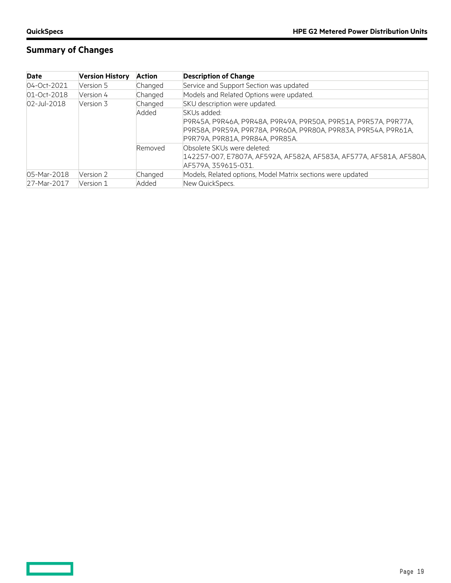$\qquad \qquad \Box$ 

# **Summary of Changes**

| Date                        | <b>Version History</b> | <b>Action</b> | <b>Description of Change</b>                                                                                                                                                         |
|-----------------------------|------------------------|---------------|--------------------------------------------------------------------------------------------------------------------------------------------------------------------------------------|
| 04-Oct-2021                 | Version 5              | Changed       | Service and Support Section was updated                                                                                                                                              |
| 01-Oct-2018                 | Version 4              | Changed       | Models and Related Options were updated.                                                                                                                                             |
| $02$ -Jul-2018<br>Version 3 |                        | Changed       | SKU description were updated.                                                                                                                                                        |
|                             |                        | Added         | SKUs added:<br>P9R45A, P9R46A, P9R48A, P9R49A, P9R50A, P9R51A, P9R57A, P9R77A,<br>P9R58A, P9R59A, P9R78A, P9R60A, P9R80A, P9R83A, P9R54A, P9R61A,<br>P9R79A, P9R81A, P9R84A, P9R85A. |
|                             |                        | Removed       | Obsolete SKUs were deleted:<br> 142257-007, E7807A, AF592A, AF582A, AF583A, AF577A, AF581A, AF580A,  <br>AF579A, 359615-031.                                                         |
| 05-Mar-2018                 | Version 2              | Changed       | Models, Related options, Model Matrix sections were updated                                                                                                                          |
| 27-Mar-2017                 | Version 1              | Added         | New QuickSpecs.                                                                                                                                                                      |